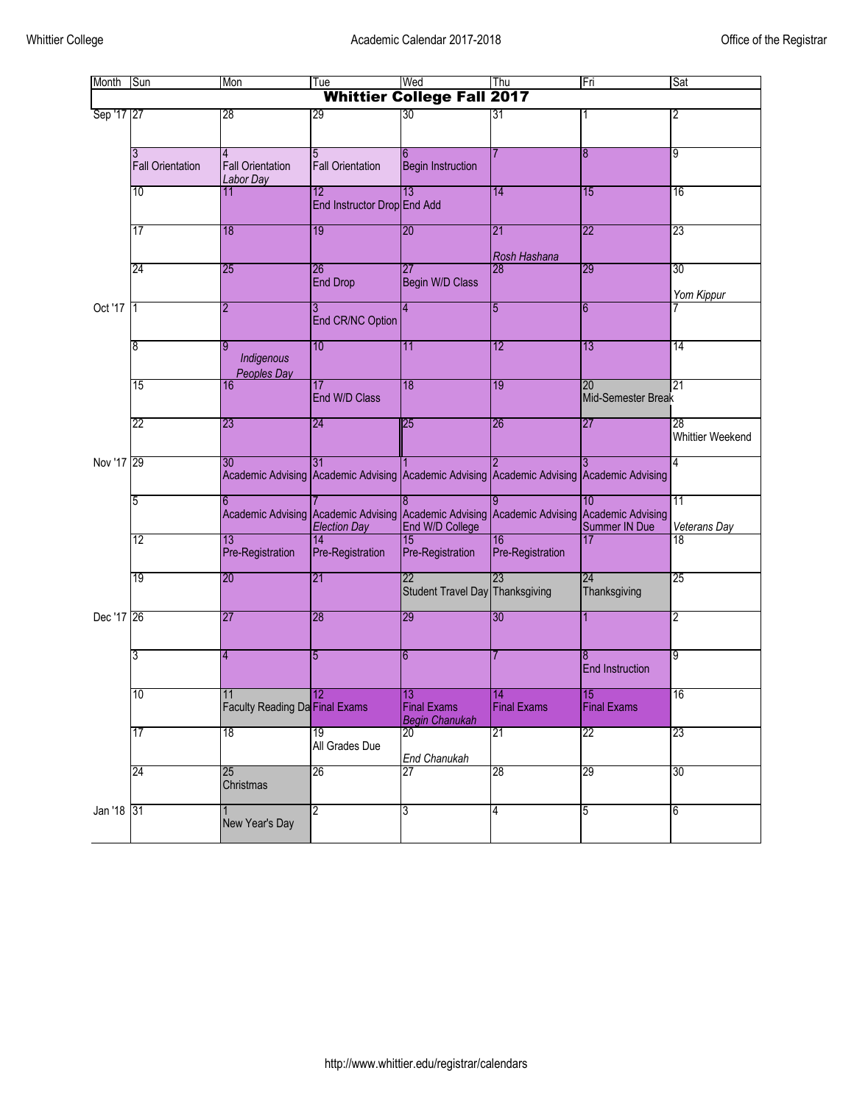| Month                             | Sun                          | Mon                                             | Tue                               | Wed                                               | Thu                                                   | Fri                         | Sat                           |  |
|-----------------------------------|------------------------------|-------------------------------------------------|-----------------------------------|---------------------------------------------------|-------------------------------------------------------|-----------------------------|-------------------------------|--|
| <b>Whittier College Fall 2017</b> |                              |                                                 |                                   |                                                   |                                                       |                             |                               |  |
| Sep '17 27                        |                              | 28                                              | 29                                | 30                                                | 31                                                    |                             | 2                             |  |
|                                   | 3<br><b>Fall Orientation</b> | 4<br><b>Fall Orientation</b><br>Labor Day       | 5<br><b>Fall Orientation</b>      | 6<br><b>Begin Instruction</b>                     |                                                       | 8                           | 9                             |  |
|                                   | 10                           | 11                                              | 12<br>End Instructor Drop End Add | $\overline{13}$                                   | 14                                                    | 15                          | 16                            |  |
|                                   | 17                           | 18                                              | 19                                | 20                                                | 21<br>Rosh Hashana                                    | 22                          | 23                            |  |
|                                   | $\overline{24}$              | $\overline{25}$                                 | 26<br><b>End Drop</b>             | $\overline{27}$<br>Begin W/D Class                | 28                                                    | 29                          | 30<br>Yom Kippur              |  |
| Oct '17                           | 1                            | 2                                               | 3<br>End CR/NC Option             | 4                                                 | 5                                                     | 6                           |                               |  |
|                                   | 8                            | 9<br>Indigenous<br>Peoples Day                  | 10                                | 11                                                | 12                                                    | 13                          | 14                            |  |
|                                   | 15                           | 16                                              | 17<br>End W/D Class               | 18                                                | 19                                                    | 20<br>Mid-Semester Break    | 21                            |  |
|                                   | 22                           | 23                                              | 24                                | 25                                                | 26                                                    | 27                          | 28<br><b>Whittier Weekend</b> |  |
| Nov '17 29                        |                              | 30<br>Academic Advising Academic Advising       | 31                                |                                                   | Academic Advising Academic Advising Academic Advising | 3                           | 4                             |  |
|                                   | 5                            | 6<br><b>Academic Advising Academic Advising</b> | <b>Election Day</b>               | End W/D College                                   | Academic Advising Academic Advising Academic Advising | 10<br>Summer IN Due         | 11<br>Veterans Day            |  |
|                                   | 12                           | 13<br>Pre-Registration                          | 14<br>Pre-Registration            | 15<br>Pre-Registration                            | 16<br>Pre-Registration                                | 17                          | 18                            |  |
|                                   | 19                           | 20                                              | 21                                | 22<br>Student Travel Day Thanksgiving             | 23                                                    | 24<br>Thanksgiving          | 25                            |  |
| Dec '17 26                        |                              | 27                                              | 28                                | 29                                                | 30                                                    | 1                           | 2                             |  |
|                                   | 3                            | 4                                               | 5                                 | 6                                                 |                                                       | 8<br><b>End Instruction</b> | 9                             |  |
|                                   | 10                           | 11<br>Faculty Reading Da Final Exams            | 12                                | 13<br><b>Final Exams</b><br><b>Begin Chanukah</b> | 14<br><b>Final Exams</b>                              | 15<br><b>Final Exams</b>    | 16                            |  |
|                                   | 17                           | 18                                              | 19<br>All Grades Due              | 20<br>End Chanukah                                | 21                                                    | 22                          | 23                            |  |
|                                   | 24                           | 25<br>Christmas                                 | 26                                | 27                                                | 28                                                    | 29                          | 30 <sup>°</sup>               |  |
| Jan '18 31                        |                              | New Year's Day                                  | 2                                 | 3                                                 | 4                                                     | 5                           | 6                             |  |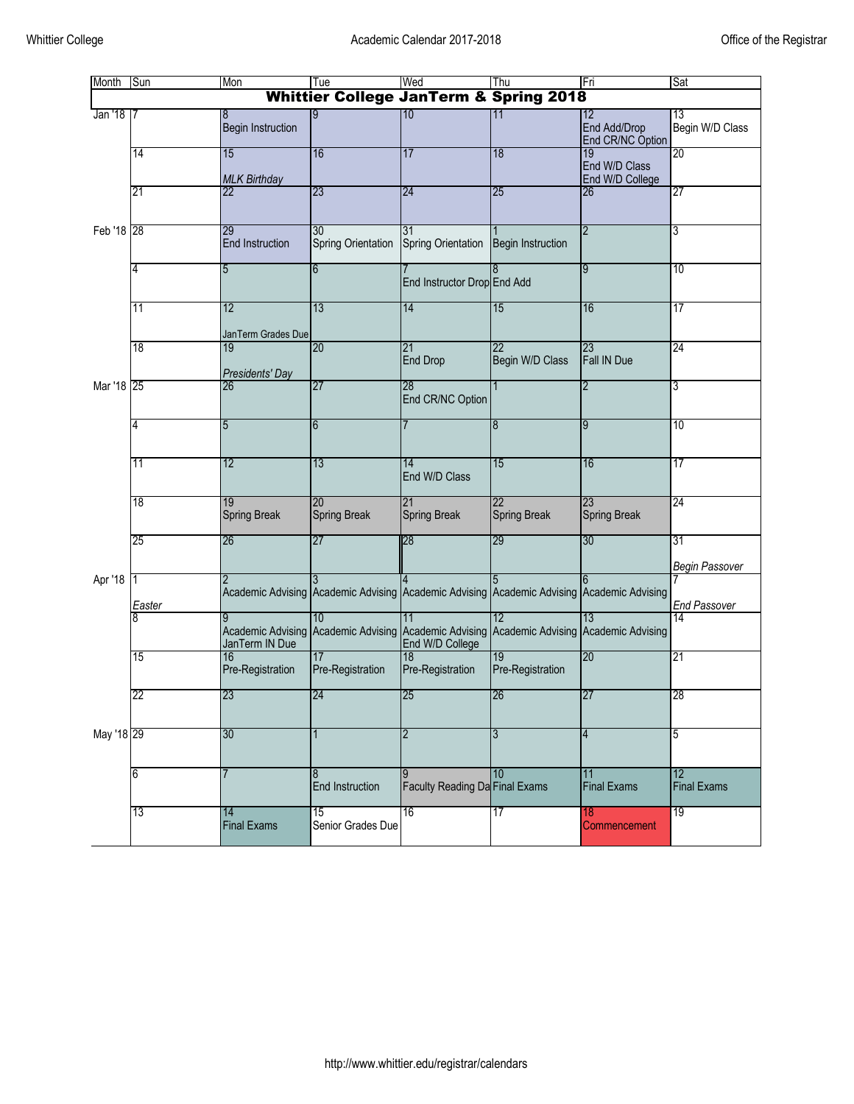| Month       | Sun         | Mon                                                                                       | Tue                                               | Wed                                               | Thu                                       | Fri                                    | Sat                         |
|-------------|-------------|-------------------------------------------------------------------------------------------|---------------------------------------------------|---------------------------------------------------|-------------------------------------------|----------------------------------------|-----------------------------|
|             |             |                                                                                           | <b>Whittier College JanTerm &amp; Spring 2018</b> |                                                   |                                           |                                        |                             |
| Jan '18   7 |             | 8<br><b>Begin Instruction</b>                                                             |                                                   | 10                                                | 11                                        | 12<br>End Add/Drop<br>End CR/NC Option | 13<br>Begin W/D Class       |
|             | 14          | 15<br><b>MLK Birthday</b>                                                                 | 16                                                | 17                                                | 18                                        | 19<br>End W/D Class<br>End W/D College | 20                          |
|             | 21          | $\overline{22}$                                                                           | 23                                                | 24                                                | 25                                        | 26                                     | 27                          |
| Feb '18 28  |             | 29<br><b>End Instruction</b>                                                              | 30<br><b>Spring Orientation</b>                   | 31<br><b>Spring Orientation</b>                   | <b>Begin Instruction</b>                  | $\overline{2}$                         | 3                           |
|             | 4           | 5                                                                                         | 6                                                 | End Instructor Drop End Add                       |                                           | 9                                      | 10                          |
|             | 11          | 12<br>JanTerm Grades Due                                                                  | 13                                                | 14                                                | 15                                        | 16                                     | 17                          |
|             | 18          | 19<br>Presidents' Day                                                                     | 20                                                | 21<br><b>End Drop</b>                             | 22<br>Begin W/D Class                     | 23<br>Fall IN Due                      | 24                          |
| Mar '18 25  |             | 26                                                                                        | 27                                                | 28<br>End CR/NC Option                            | 1                                         | $\overline{2}$                         | 3                           |
|             | 4           | 5                                                                                         | 6                                                 |                                                   | 8                                         | 9                                      | 10                          |
|             | 11          | 12                                                                                        | 13                                                | 14<br>End W/D Class                               | 15                                        | 16                                     | 17                          |
|             | 18          | 19<br><b>Spring Break</b>                                                                 | 20<br><b>Spring Break</b>                         | 21<br><b>Spring Break</b>                         | 22<br><b>Spring Break</b>                 | 23<br><b>Spring Break</b>              | 24                          |
|             | 25          | 26                                                                                        | 27                                                | 28                                                | 29                                        | 30                                     | 31<br><b>Begin Passover</b> |
| Apr '18     | 1<br>Easter | Academic Advising Academic Advising Academic Advising Academic Advising Academic Advising |                                                   |                                                   |                                           | 6                                      | <b>End Passover</b>         |
|             | 8           | Academic Advising Academic Advising<br>JanTerm IN Due                                     | 10                                                | 11<br><b>Academic Advising</b><br>End W/D College | 12<br>Academic Advising Academic Advising | 13                                     | 14                          |
|             | 15          | 16<br>Pre-Registration                                                                    | 17<br>Pre-Registration                            | 18<br>Pre-Registration                            | 19<br>Pre-Registration                    | 20                                     | 21                          |
|             | 22          | 23                                                                                        | 24                                                | 25                                                | 26                                        | 27                                     | 28                          |
| May '18 29  |             | 30                                                                                        |                                                   | 2                                                 | 3                                         | 4                                      | 5                           |
|             | 6           |                                                                                           | 8<br>End Instruction                              | <b>Faculty Reading Da Final Exams</b>             | 10                                        | 11<br><b>Final Exams</b>               | 12<br><b>Final Exams</b>    |
|             | 13          | 14<br><b>Final Exams</b>                                                                  | 15<br>Senior Grades Due                           | 16                                                | 17                                        | 18<br>Commencement                     | 19                          |